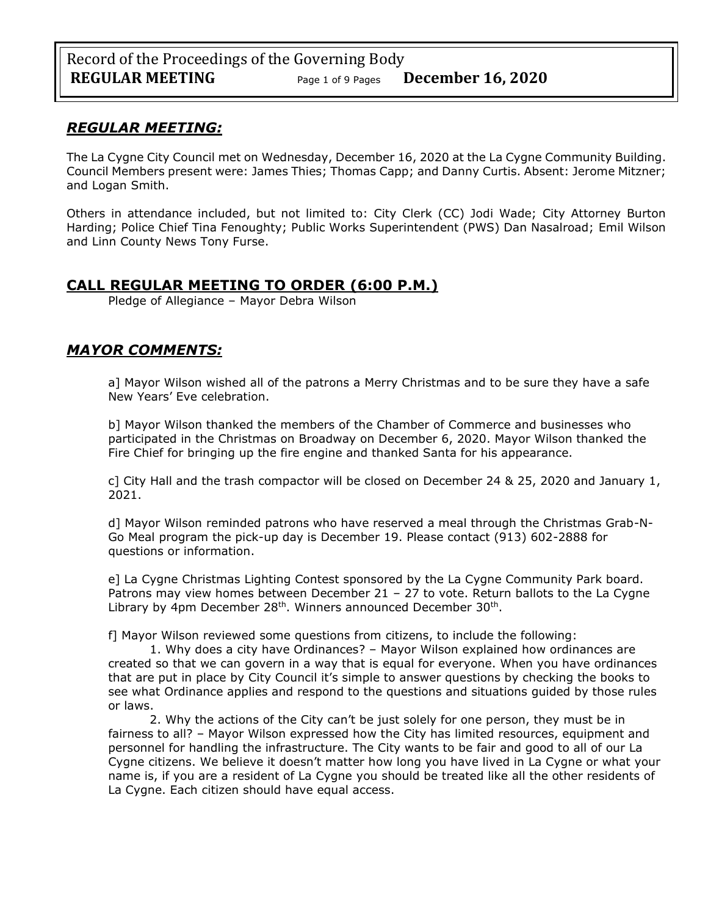# *REGULAR MEETING:*

The La Cygne City Council met on Wednesday, December 16, 2020 at the La Cygne Community Building. Council Members present were: James Thies; Thomas Capp; and Danny Curtis. Absent: Jerome Mitzner; and Logan Smith.

Others in attendance included, but not limited to: City Clerk (CC) Jodi Wade; City Attorney Burton Harding; Police Chief Tina Fenoughty; Public Works Superintendent (PWS) Dan Nasalroad; Emil Wilson and Linn County News Tony Furse.

# **CALL REGULAR MEETING TO ORDER (6:00 P.M.)**

Pledge of Allegiance – Mayor Debra Wilson

# *MAYOR COMMENTS:*

a] Mayor Wilson wished all of the patrons a Merry Christmas and to be sure they have a safe New Years' Eve celebration.

b] Mayor Wilson thanked the members of the Chamber of Commerce and businesses who participated in the Christmas on Broadway on December 6, 2020. Mayor Wilson thanked the Fire Chief for bringing up the fire engine and thanked Santa for his appearance.

c] City Hall and the trash compactor will be closed on December 24 & 25, 2020 and January 1, 2021.

d] Mayor Wilson reminded patrons who have reserved a meal through the Christmas Grab-N-Go Meal program the pick-up day is December 19. Please contact (913) 602-2888 for questions or information.

e] La Cygne Christmas Lighting Contest sponsored by the La Cygne Community Park board. Patrons may view homes between December 21 – 27 to vote. Return ballots to the La Cygne Library by 4pm December 28<sup>th</sup>. Winners announced December 30<sup>th</sup>.

f] Mayor Wilson reviewed some questions from citizens, to include the following:

1. Why does a city have Ordinances? – Mayor Wilson explained how ordinances are created so that we can govern in a way that is equal for everyone. When you have ordinances that are put in place by City Council it's simple to answer questions by checking the books to see what Ordinance applies and respond to the questions and situations guided by those rules or laws.

2. Why the actions of the City can't be just solely for one person, they must be in fairness to all? – Mayor Wilson expressed how the City has limited resources, equipment and personnel for handling the infrastructure. The City wants to be fair and good to all of our La Cygne citizens. We believe it doesn't matter how long you have lived in La Cygne or what your name is, if you are a resident of La Cygne you should be treated like all the other residents of La Cygne. Each citizen should have equal access.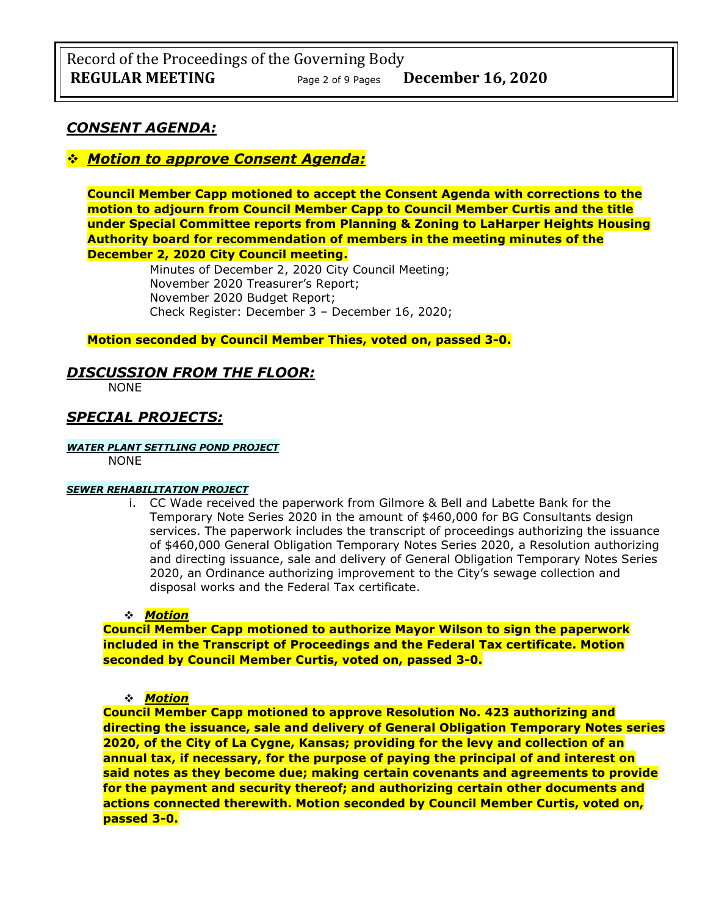# *CONSENT AGENDA:*

# ❖ *Motion to approve Consent Agenda:*

**Council Member Capp motioned to accept the Consent Agenda with corrections to the motion to adjourn from Council Member Capp to Council Member Curtis and the title under Special Committee reports from Planning & Zoning to LaHarper Heights Housing Authority board for recommendation of members in the meeting minutes of the December 2, 2020 City Council meeting.**

> Minutes of December 2, 2020 City Council Meeting; November 2020 Treasurer's Report; November 2020 Budget Report; Check Register: December 3 – December 16, 2020;

## **Motion seconded by Council Member Thies, voted on, passed 3-0.**

## *DISCUSSION FROM THE FLOOR:*

NONE

# *SPECIAL PROJECTS:*

#### *WATER PLANT SETTLING POND PROJECT*

NONE

## *SEWER REHABILITATION PROJECT*

i. CC Wade received the paperwork from Gilmore & Bell and Labette Bank for the Temporary Note Series 2020 in the amount of \$460,000 for BG Consultants design services. The paperwork includes the transcript of proceedings authorizing the issuance of \$460,000 General Obligation Temporary Notes Series 2020, a Resolution authorizing and directing issuance, sale and delivery of General Obligation Temporary Notes Series 2020, an Ordinance authorizing improvement to the City's sewage collection and disposal works and the Federal Tax certificate.

## ❖ *Motion*

**Council Member Capp motioned to authorize Mayor Wilson to sign the paperwork included in the Transcript of Proceedings and the Federal Tax certificate. Motion seconded by Council Member Curtis, voted on, passed 3-0.**

#### ❖ *Motion*

**Council Member Capp motioned to approve Resolution No. 423 authorizing and directing the issuance, sale and delivery of General Obligation Temporary Notes series 2020, of the City of La Cygne, Kansas; providing for the levy and collection of an annual tax, if necessary, for the purpose of paying the principal of and interest on said notes as they become due; making certain covenants and agreements to provide for the payment and security thereof; and authorizing certain other documents and actions connected therewith. Motion seconded by Council Member Curtis, voted on, passed 3-0.**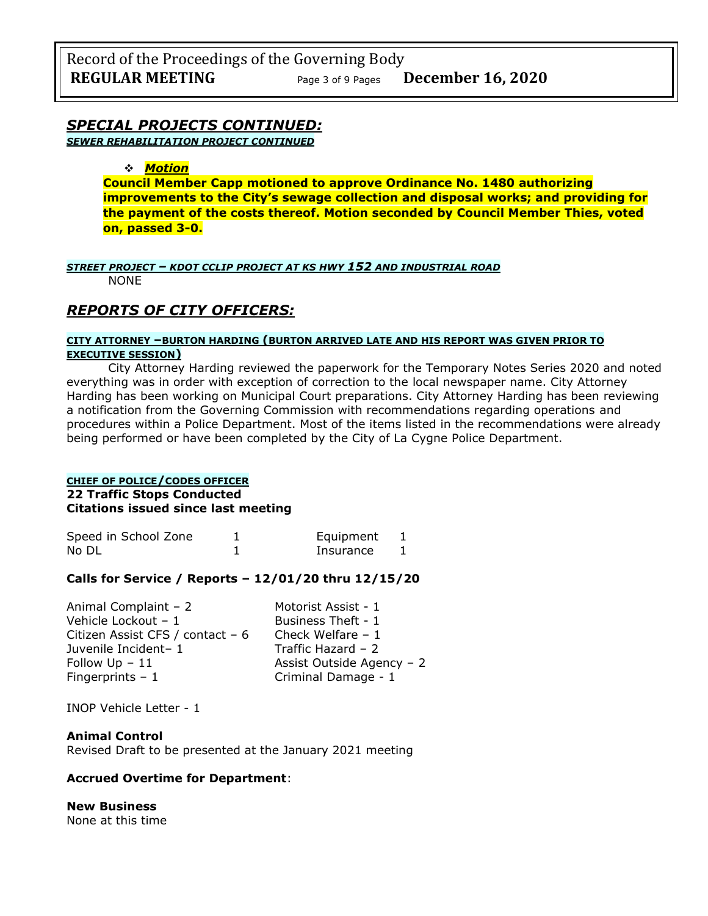# *SPECIAL PROJECTS CONTINUED:*

*SEWER REHABILITATION PROJECT CONTINUED*

### ❖ *Motion*

**Council Member Capp motioned to approve Ordinance No. 1480 authorizing improvements to the City's sewage collection and disposal works; and providing for the payment of the costs thereof. Motion seconded by Council Member Thies, voted on, passed 3-0.**

# *STREET PROJECT – KDOT CCLIP PROJECT AT KS HWY 152 AND INDUSTRIAL ROAD*

NONE

# *REPORTS OF CITY OFFICERS:*

## **CITY ATTORNEY –BURTON HARDING (BURTON ARRIVED LATE AND HIS REPORT WAS GIVEN PRIOR TO EXECUTIVE SESSION)**

City Attorney Harding reviewed the paperwork for the Temporary Notes Series 2020 and noted everything was in order with exception of correction to the local newspaper name. City Attorney Harding has been working on Municipal Court preparations. City Attorney Harding has been reviewing a notification from the Governing Commission with recommendations regarding operations and procedures within a Police Department. Most of the items listed in the recommendations were already being performed or have been completed by the City of La Cygne Police Department.

## **CHIEF OF POLICE/CODES OFFICER 22 Traffic Stops Conducted Citations issued since last meeting**

| Speed in School Zone | Equipment |  |
|----------------------|-----------|--|
| No DL                | Insurance |  |

## **Calls for Service / Reports – 12/01/20 thru 12/15/20**

| Motorist Assist - 1       |
|---------------------------|
| Business Theft - 1        |
| Check Welfare $-1$        |
| Traffic Hazard $-2$       |
| Assist Outside Agency - 2 |
| Criminal Damage - 1       |
|                           |

INOP Vehicle Letter - 1

#### **Animal Control** Revised Draft to be presented at the January 2021 meeting

## **Accrued Overtime for Department**:

**New Business** None at this time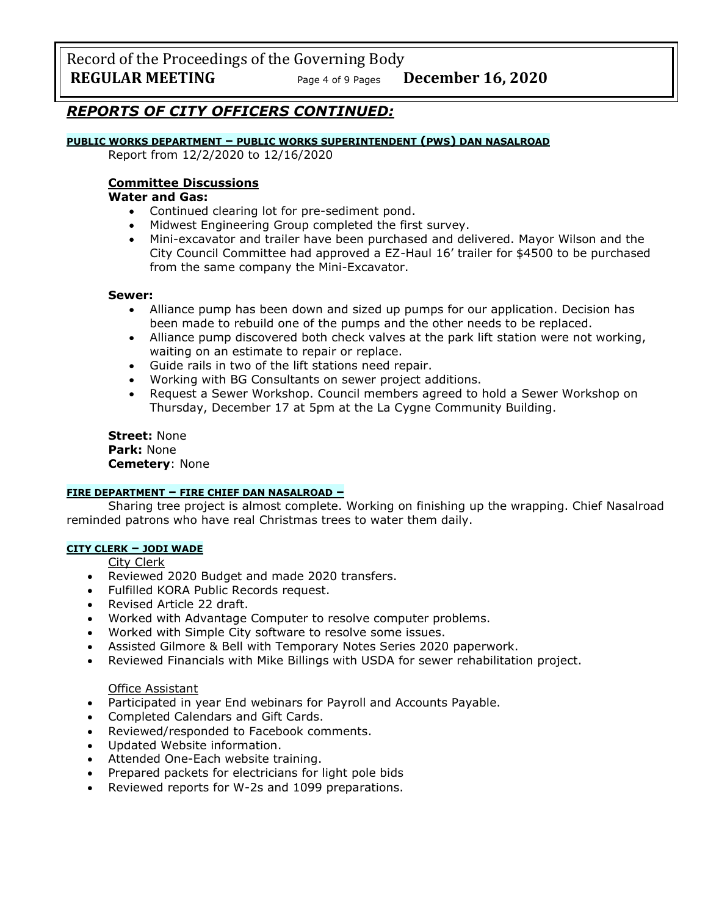Record of the Proceedings of the Governing Body **REGULAR MEETING** Page <sup>4</sup> of 9 Pages **December 16, 2020**

# *REPORTS OF CITY OFFICERS CONTINUED:*

### **PUBLIC WORKS DEPARTMENT – PUBLIC WORKS SUPERINTENDENT (PWS) DAN NASALROAD**

Report from 12/2/2020 to 12/16/2020

### **Committee Discussions**

## **Water and Gas:**

- Continued clearing lot for pre-sediment pond.<br>• Midwest Engineering Group completed the firs
- Midwest Engineering Group completed the first survey.
- Mini-excavator and trailer have been purchased and delivered. Mayor Wilson and the City Council Committee had approved a EZ-Haul 16' trailer for \$4500 to be purchased from the same company the Mini-Excavator.

#### **Sewer:**

- Alliance pump has been down and sized up pumps for our application. Decision has been made to rebuild one of the pumps and the other needs to be replaced.
- Alliance pump discovered both check valves at the park lift station were not working, waiting on an estimate to repair or replace.
- Guide rails in two of the lift stations need repair.
- Working with BG Consultants on sewer project additions.
- Request a Sewer Workshop. Council members agreed to hold a Sewer Workshop on Thursday, December 17 at 5pm at the La Cygne Community Building.

**Street:** None **Park:** None **Cemetery**: None

## **FIRE DEPARTMENT – FIRE CHIEF DAN NASALROAD –**

Sharing tree project is almost complete. Working on finishing up the wrapping. Chief Nasalroad reminded patrons who have real Christmas trees to water them daily.

## **CITY CLERK – JODI WADE**

City Clerk

- Reviewed 2020 Budget and made 2020 transfers.
- Fulfilled KORA Public Records request.
- Revised Article 22 draft.
- Worked with Advantage Computer to resolve computer problems.
- Worked with Simple City software to resolve some issues.
- Assisted Gilmore & Bell with Temporary Notes Series 2020 paperwork.
- Reviewed Financials with Mike Billings with USDA for sewer rehabilitation project.

## Office Assistant

- Participated in year End webinars for Payroll and Accounts Payable.
- Completed Calendars and Gift Cards.
- Reviewed/responded to Facebook comments.
- Updated Website information.
- Attended One-Each website training.
- Prepared packets for electricians for light pole bids
- Reviewed reports for W-2s and 1099 preparations.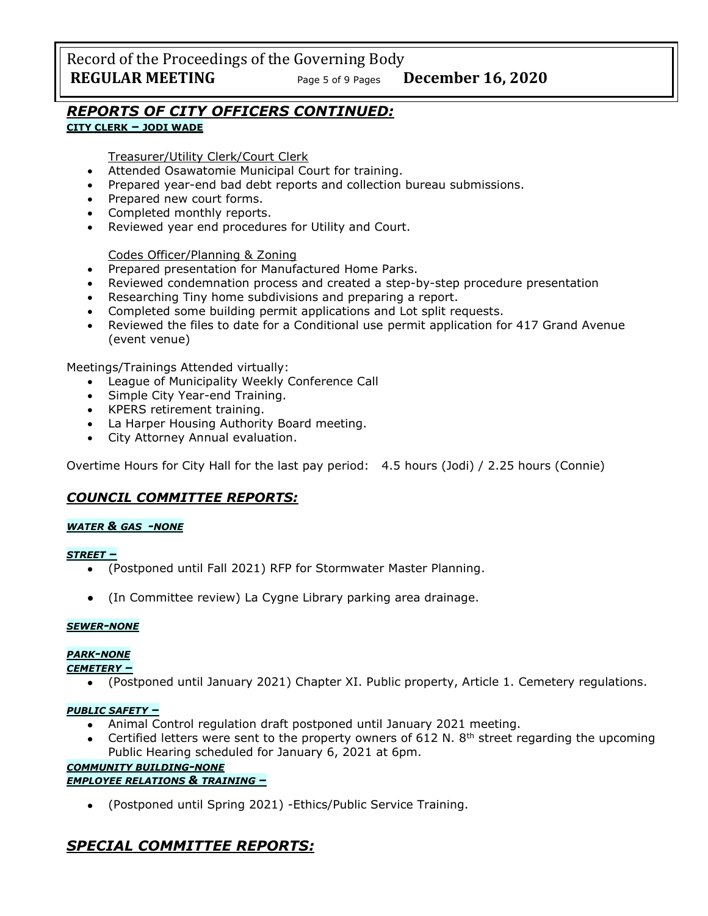Record of the Proceedings of the Governing Body **REGULAR MEETING** Page <sup>5</sup> of 9 Pages **December 16, 2020**

# *REPORTS OF CITY OFFICERS CONTINUED:*

# **CITY CLERK – JODI WADE**

Treasurer/Utility Clerk/Court Clerk

- Attended Osawatomie Municipal Court for training.
- Prepared year-end bad debt reports and collection bureau submissions.
- Prepared new court forms.
- Completed monthly reports.
- Reviewed year end procedures for Utility and Court.

## Codes Officer/Planning & Zoning

- Prepared presentation for Manufactured Home Parks.
- Reviewed condemnation process and created a step-by-step procedure presentation
- Researching Tiny home subdivisions and preparing a report.
- Completed some building permit applications and Lot split requests.
- Reviewed the files to date for a Conditional use permit application for 417 Grand Avenue (event venue)

Meetings/Trainings Attended virtually:

- League of Municipality Weekly Conference Call
- Simple City Year-end Training.
- KPERS retirement training.
- La Harper Housing Authority Board meeting.
- City Attorney Annual evaluation.

Overtime Hours for City Hall for the last pay period: 4.5 hours (Jodi) / 2.25 hours (Connie)

# *COUNCIL COMMITTEE REPORTS:*

## *WATER & GAS -NONE*

## *STREET –*

- (Postponed until Fall 2021) RFP for Stormwater Master Planning.
- (In Committee review) La Cygne Library parking area drainage.

## *SEWER-NONE*

# *PARK-NONE*

## *CEMETERY –*

• (Postponed until January 2021) Chapter XI. Public property, Article 1. Cemetery regulations.

## *PUBLIC SAFETY –*

- Animal Control regulation draft postponed until January 2021 meeting.
- Certified letters were sent to the property owners of 612 N. 8<sup>th</sup> street regarding the upcoming Public Hearing scheduled for January 6, 2021 at 6pm.

# *COMMUNITY BUILDING-NONE*

## *EMPLOYEE RELATIONS & TRAINING –*

• (Postponed until Spring 2021) -Ethics/Public Service Training.

# *SPECIAL COMMITTEE REPORTS:*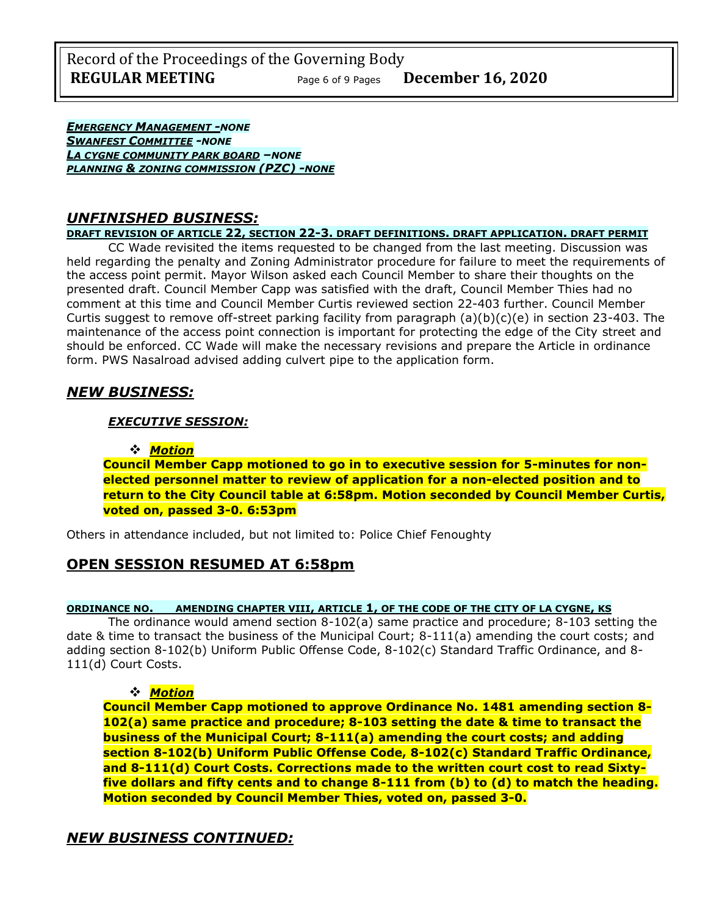Record of the Proceedings of the Governing Body **REGULAR MEETING** Page <sup>6</sup> of 9 Pages **December 16, 2020**

*EMERGENCY MANAGEMENT -NONE SWANFEST COMMITTEE -NONE LA CYGNE COMMUNITY PARK BOARD –NONE PLANNING & ZONING COMMISSION (PZC) -NONE*

# *UNFINISHED BUSINESS:*

**DRAFT REVISION OF ARTICLE 22, SECTION 22-3. DRAFT DEFINITIONS. DRAFT APPLICATION. DRAFT PERMIT**

CC Wade revisited the items requested to be changed from the last meeting. Discussion was held regarding the penalty and Zoning Administrator procedure for failure to meet the requirements of the access point permit. Mayor Wilson asked each Council Member to share their thoughts on the presented draft. Council Member Capp was satisfied with the draft, Council Member Thies had no comment at this time and Council Member Curtis reviewed section 22-403 further. Council Member Curtis suggest to remove off-street parking facility from paragraph  $(a)(b)(c)(e)$  in section 23-403. The maintenance of the access point connection is important for protecting the edge of the City street and should be enforced. CC Wade will make the necessary revisions and prepare the Article in ordinance form. PWS Nasalroad advised adding culvert pipe to the application form.

# *NEW BUSINESS:*

## *EXECUTIVE SESSION:*

#### ❖ *Motion*

**Council Member Capp motioned to go in to executive session for 5-minutes for nonelected personnel matter to review of application for a non-elected position and to return to the City Council table at 6:58pm. Motion seconded by Council Member Curtis, voted on, passed 3-0. 6:53pm**

Others in attendance included, but not limited to: Police Chief Fenoughty

## **OPEN SESSION RESUMED AT 6:58pm**

#### **ORDINANCE NO. AMENDING CHAPTER VIII, ARTICLE 1, OF THE CODE OF THE CITY OF LA CYGNE, KS**

The ordinance would amend section 8-102(a) same practice and procedure; 8-103 setting the date & time to transact the business of the Municipal Court; 8-111(a) amending the court costs; and adding section 8-102(b) Uniform Public Offense Code, 8-102(c) Standard Traffic Ordinance, and 8- 111(d) Court Costs.

## ❖ *Motion*

**Council Member Capp motioned to approve Ordinance No. 1481 amending section 8- 102(a) same practice and procedure; 8-103 setting the date & time to transact the business of the Municipal Court; 8-111(a) amending the court costs; and adding section 8-102(b) Uniform Public Offense Code, 8-102(c) Standard Traffic Ordinance, and 8-111(d) Court Costs. Corrections made to the written court cost to read Sixtyfive dollars and fifty cents and to change 8-111 from (b) to (d) to match the heading. Motion seconded by Council Member Thies, voted on, passed 3-0.**

# *NEW BUSINESS CONTINUED:*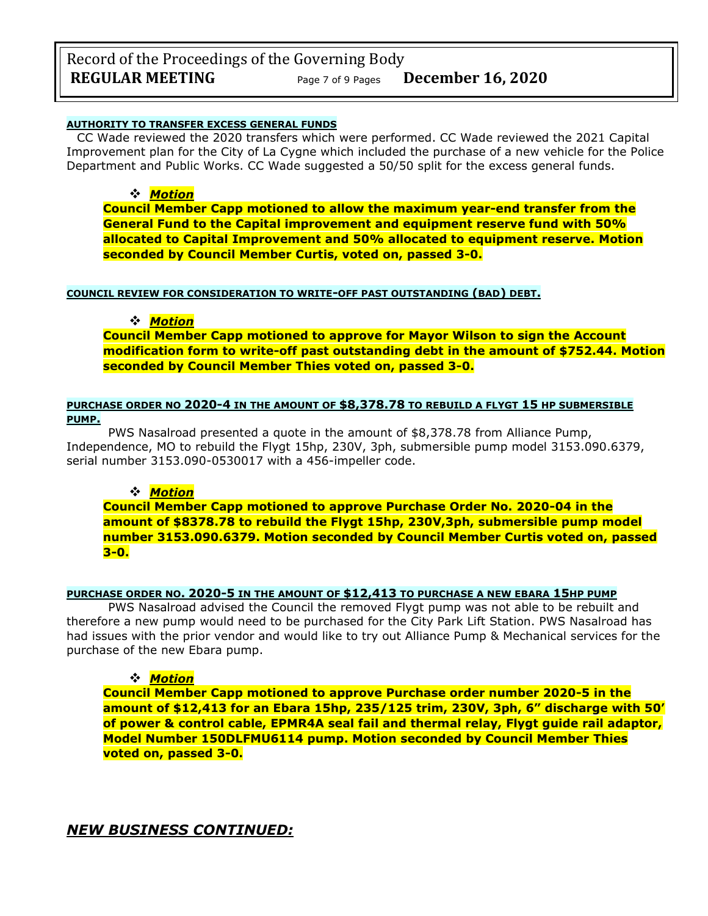# Record of the Proceedings of the Governing Body **REGULAR MEETING** Page <sup>7</sup> of 9 Pages **December 16, 2020**

### **AUTHORITY TO TRANSFER EXCESS GENERAL FUNDS**

CC Wade reviewed the 2020 transfers which were performed. CC Wade reviewed the 2021 Capital Improvement plan for the City of La Cygne which included the purchase of a new vehicle for the Police Department and Public Works. CC Wade suggested a 50/50 split for the excess general funds.

## ❖ *Motion*

**Council Member Capp motioned to allow the maximum year-end transfer from the General Fund to the Capital improvement and equipment reserve fund with 50% allocated to Capital Improvement and 50% allocated to equipment reserve. Motion seconded by Council Member Curtis, voted on, passed 3-0.**

#### **COUNCIL REVIEW FOR CONSIDERATION TO WRITE-OFF PAST OUTSTANDING (BAD) DEBT.**

## ❖ *Motion*

**Council Member Capp motioned to approve for Mayor Wilson to sign the Account modification form to write-off past outstanding debt in the amount of \$752.44. Motion seconded by Council Member Thies voted on, passed 3-0.**

## **PURCHASE ORDER NO 2020-4 IN THE AMOUNT OF \$8,378.78 TO REBUILD A FLYGT 15 HP SUBMERSIBLE PUMP.**

PWS Nasalroad presented a quote in the amount of \$8,378.78 from Alliance Pump, Independence, MO to rebuild the Flygt 15hp, 230V, 3ph, submersible pump model 3153.090.6379, serial number 3153.090-0530017 with a 456-impeller code.

## ❖ *Motion*

**Council Member Capp motioned to approve Purchase Order No. 2020-04 in the amount of \$8378.78 to rebuild the Flygt 15hp, 230V,3ph, submersible pump model number 3153.090.6379. Motion seconded by Council Member Curtis voted on, passed 3-0.**

## **PURCHASE ORDER NO. 2020-5 IN THE AMOUNT OF \$12,413 TO PURCHASE A NEW EBARA 15HP PUMP**

PWS Nasalroad advised the Council the removed Flygt pump was not able to be rebuilt and therefore a new pump would need to be purchased for the City Park Lift Station. PWS Nasalroad has had issues with the prior vendor and would like to try out Alliance Pump & Mechanical services for the purchase of the new Ebara pump.

## ❖ *Motion*

**Council Member Capp motioned to approve Purchase order number 2020-5 in the amount of \$12,413 for an Ebara 15hp, 235/125 trim, 230V, 3ph, 6" discharge with 50' of power & control cable, EPMR4A seal fail and thermal relay, Flygt guide rail adaptor, Model Number 150DLFMU6114 pump. Motion seconded by Council Member Thies voted on, passed 3-0.**

*NEW BUSINESS CONTINUED:*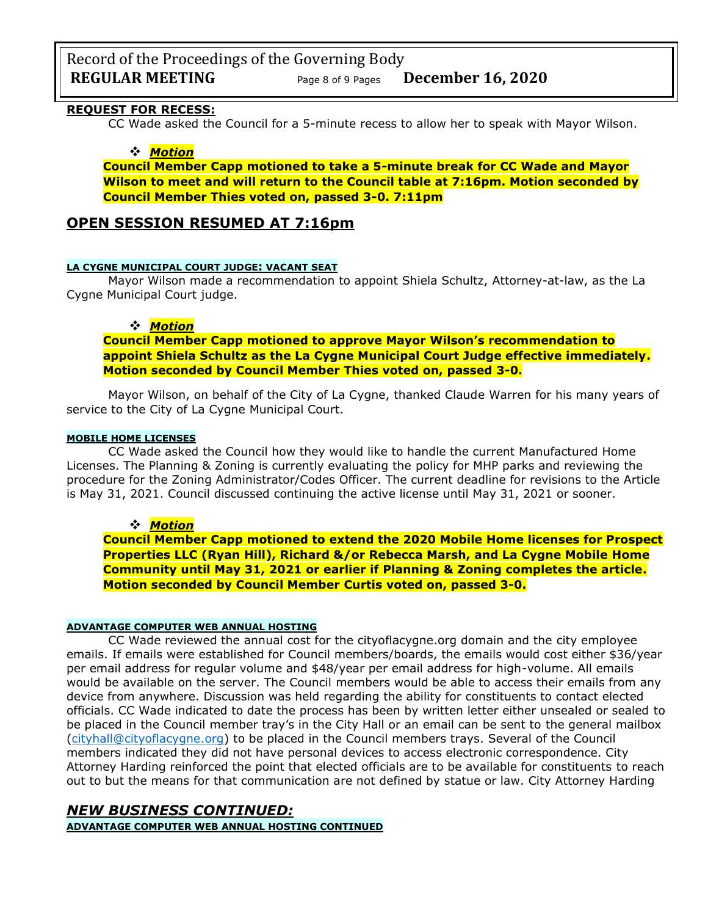Record of the Proceedings of the Governing Body **REGULAR MEETING** Page <sup>8</sup> of 9 Pages **December 16, 2020**

# **REQUEST FOR RECESS:**

CC Wade asked the Council for a 5-minute recess to allow her to speak with Mayor Wilson.

#### ❖ *Motion*

**Council Member Capp motioned to take a 5-minute break for CC Wade and Mayor Wilson to meet and will return to the Council table at 7:16pm. Motion seconded by Council Member Thies voted on, passed 3-0. 7:11pm** 

## **OPEN SESSION RESUMED AT 7:16pm**

#### **LA CYGNE MUNICIPAL COURT JUDGE: VACANT SEAT**

Mayor Wilson made a recommendation to appoint Shiela Schultz, Attorney-at-law, as the La Cygne Municipal Court judge.

#### ❖ *Motion*

**Council Member Capp motioned to approve Mayor Wilson's recommendation to appoint Shiela Schultz as the La Cygne Municipal Court Judge effective immediately. Motion seconded by Council Member Thies voted on, passed 3-0.**

Mayor Wilson, on behalf of the City of La Cygne, thanked Claude Warren for his many years of service to the City of La Cygne Municipal Court.

### **MOBILE HOME LICENSES**

CC Wade asked the Council how they would like to handle the current Manufactured Home Licenses. The Planning & Zoning is currently evaluating the policy for MHP parks and reviewing the procedure for the Zoning Administrator/Codes Officer. The current deadline for revisions to the Article is May 31, 2021. Council discussed continuing the active license until May 31, 2021 or sooner.

## ❖ *Motion*

**Council Member Capp motioned to extend the 2020 Mobile Home licenses for Prospect Properties LLC (Ryan Hill), Richard &/or Rebecca Marsh, and La Cygne Mobile Home Community until May 31, 2021 or earlier if Planning & Zoning completes the article. Motion seconded by Council Member Curtis voted on, passed 3-0.**

#### **ADVANTAGE COMPUTER WEB ANNUAL HOSTING**

CC Wade reviewed the annual cost for the cityoflacygne.org domain and the city employee emails. If emails were established for Council members/boards, the emails would cost either \$36/year per email address for regular volume and \$48/year per email address for high-volume. All emails would be available on the server. The Council members would be able to access their emails from any device from anywhere. Discussion was held regarding the ability for constituents to contact elected officials. CC Wade indicated to date the process has been by written letter either unsealed or sealed to be placed in the Council member tray's in the City Hall or an email can be sent to the general mailbox [\(cityhall@cityoflacygne.org\)](mailto:cityhall@cityoflacygne.org) to be placed in the Council members trays. Several of the Council members indicated they did not have personal devices to access electronic correspondence. City Attorney Harding reinforced the point that elected officials are to be available for constituents to reach out to but the means for that communication are not defined by statue or law. City Attorney Harding

## *NEW BUSINESS CONTINUED:*

**ADVANTAGE COMPUTER WEB ANNUAL HOSTING CONTINUED**